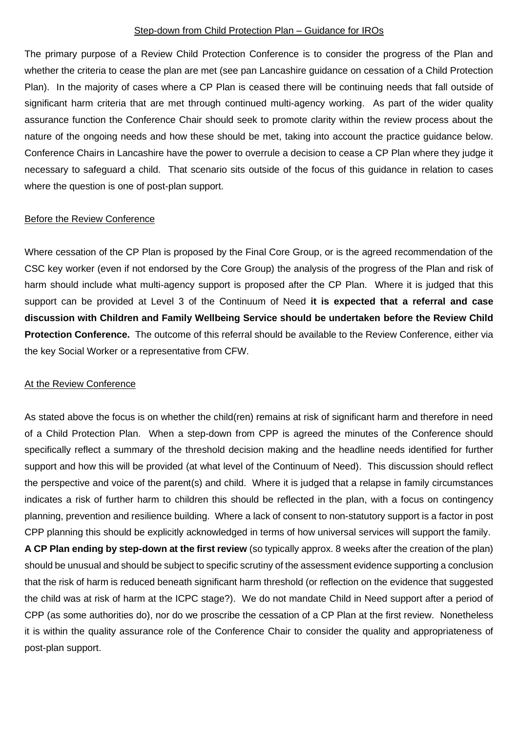## Step-down from Child Protection Plan – Guidance for IROs

The primary purpose of a Review Child Protection Conference is to consider the progress of the Plan and whether the criteria to cease the plan are met (see pan Lancashire guidance on cessation of a Child Protection Plan). In the majority of cases where a CP Plan is ceased there will be continuing needs that fall outside of significant harm criteria that are met through continued multi-agency working. As part of the wider quality assurance function the Conference Chair should seek to promote clarity within the review process about the nature of the ongoing needs and how these should be met, taking into account the practice guidance below. Conference Chairs in Lancashire have the power to overrule a decision to cease a CP Plan where they judge it necessary to safeguard a child. That scenario sits outside of the focus of this guidance in relation to cases where the question is one of post-plan support.

## Before the Review Conference

Where cessation of the CP Plan is proposed by the Final Core Group, or is the agreed recommendation of the CSC key worker (even if not endorsed by the Core Group) the analysis of the progress of the Plan and risk of harm should include what multi-agency support is proposed after the CP Plan. Where it is judged that this support can be provided at Level 3 of the Continuum of Need **it is expected that a referral and case discussion with Children and Family Wellbeing Service should be undertaken before the Review Child Protection Conference.** The outcome of this referral should be available to the Review Conference, either via the key Social Worker or a representative from CFW.

## At the Review Conference

post-plan support.

As stated above the focus is on whether the child(ren) remains at risk of significant harm and therefore in need of a Child Protection Plan. When a step-down from CPP is agreed the minutes of the Conference should specifically reflect a summary of the threshold decision making and the headline needs identified for further support and how this will be provided (at what level of the Continuum of Need). This discussion should reflect the perspective and voice of the parent(s) and child. Where it is judged that a relapse in family circumstances indicates a risk of further harm to children this should be reflected in the plan, with a focus on contingency planning, prevention and resilience building. Where a lack of consent to non-statutory support is a factor in post CPP planning this should be explicitly acknowledged in terms of how universal services will support the family. **A CP Plan ending by step-down at the first review** (so typically approx. 8 weeks after the creation of the plan) should be unusual and should be subject to specific scrutiny of the assessment evidence supporting a conclusion that the risk of harm is reduced beneath significant harm threshold (or reflection on the evidence that suggested the child was at risk of harm at the ICPC stage?). We do not mandate Child in Need support after a period of CPP (as some authorities do), nor do we proscribe the cessation of a CP Plan at the first review. Nonetheless it is within the quality assurance role of the Conference Chair to consider the quality and appropriateness of